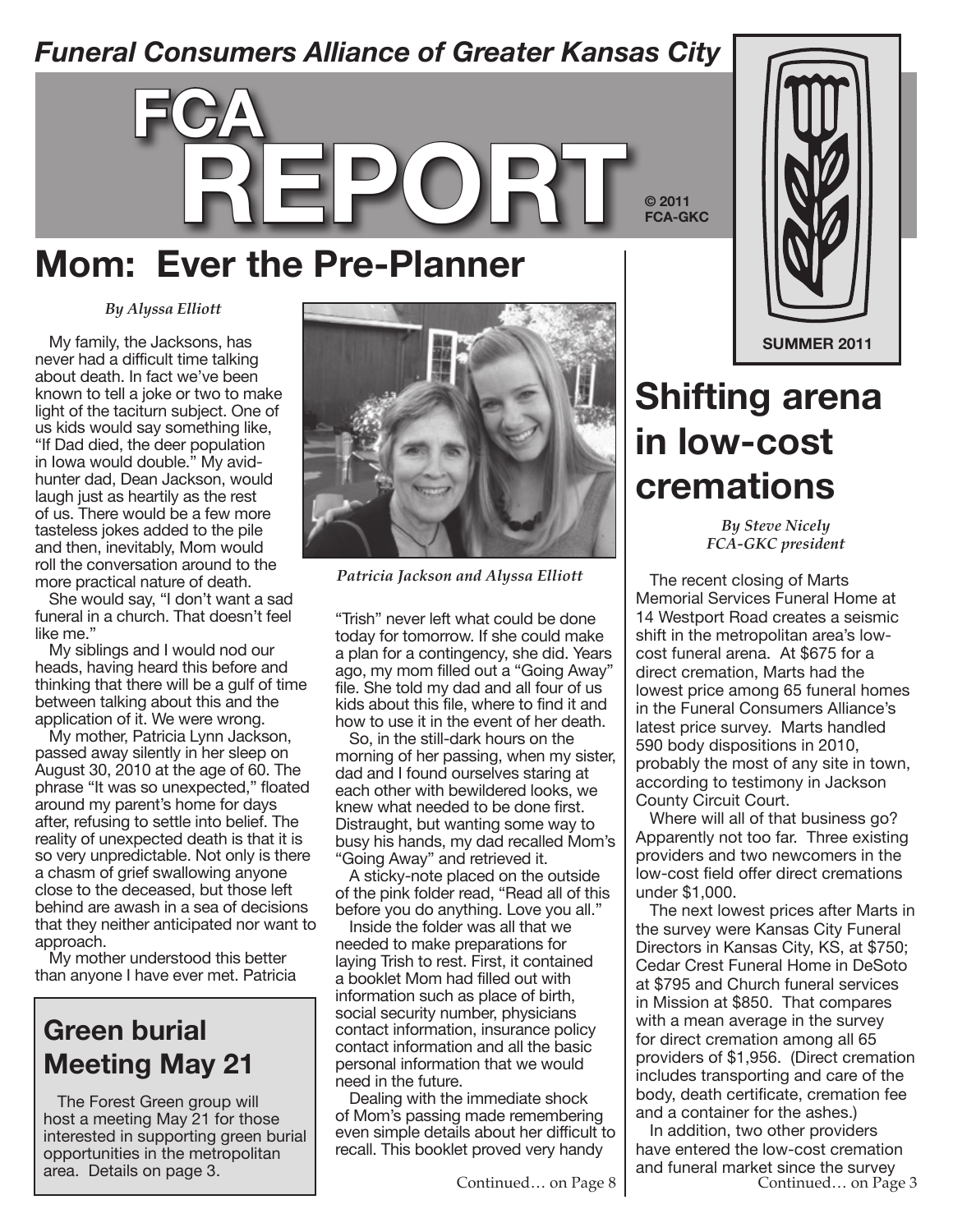### *Funeral Consumers Alliance of Greater Kansas City*



### **Mom: Ever the Pre-Planner**

#### *By Alyssa Elliott*

My family, the Jacksons, has never had a difficult time talking about death. In fact we've been known to tell a joke or two to make light of the taciturn subject. One of us kids would say something like, "If Dad died, the deer population in Iowa would double." My avidhunter dad, Dean Jackson, would laugh just as heartily as the rest of us. There would be a few more tasteless jokes added to the pile and then, inevitably, Mom would roll the conversation around to the more practical nature of death.

She would say, "I don't want a sad funeral in a church. That doesn't feel like me."

My siblings and I would nod our heads, having heard this before and thinking that there will be a gulf of time between talking about this and the application of it. We were wrong.

My mother, Patricia Lynn Jackson, passed away silently in her sleep on August 30, 2010 at the age of 60. The phrase "It was so unexpected," floated around my parent's home for days after, refusing to settle into belief. The reality of unexpected death is that it is so very unpredictable. Not only is there a chasm of grief swallowing anyone close to the deceased, but those left behind are awash in a sea of decisions that they neither anticipated nor want to approach.

My mother understood this better than anyone I have ever met. Patricia

#### **Green burial Meeting May 21**

The Forest Green group will host a meeting May 21 for those interested in supporting green burial opportunities in the metropolitan<br>area. Details on page 3.



*Patricia Jackson and Alyssa Elliott*

"Trish" never left what could be done today for tomorrow. If she could make a plan for a contingency, she did. Years ago, my mom filled out a "Going Away" file. She told my dad and all four of us kids about this file, where to find it and how to use it in the event of her death.

So, in the still-dark hours on the morning of her passing, when my sister, dad and I found ourselves staring at each other with bewildered looks, we knew what needed to be done first. Distraught, but wanting some way to busy his hands, my dad recalled Mom's "Going Away" and retrieved it.

A sticky-note placed on the outside of the pink folder read, "Read all of this before you do anything. Love you all."

Inside the folder was all that we needed to make preparations for laying Trish to rest. First, it contained a booklet Mom had filled out with information such as place of birth, social security number, physicians contact information, insurance policy contact information and all the basic personal information that we would need in the future.

Dealing with the immediate shock of Mom's passing made remembering even simple details about her difficult to recall. This booklet proved very handy



# **Shifting arena in low-cost cremations**

*By Steve Nicely FCA-GKC president*

The recent closing of Marts Memorial Services Funeral Home at 14 Westport Road creates a seismic shift in the metropolitan area's lowcost funeral arena. At \$675 for a direct cremation, Marts had the lowest price among 65 funeral homes in the Funeral Consumers Alliance's latest price survey. Marts handled 590 body dispositions in 2010, probably the most of any site in town, according to testimony in Jackson County Circuit Court.

Where will all of that business go? Apparently not too far. Three existing providers and two newcomers in the low-cost field offer direct cremations under \$1,000.

The next lowest prices after Marts in the survey were Kansas City Funeral Directors in Kansas City, KS, at \$750; Cedar Crest Funeral Home in DeSoto at \$795 and Church funeral services in Mission at \$850. That compares with a mean average in the survey for direct cremation among all 65 providers of \$1,956. (Direct cremation includes transporting and care of the body, death certificate, cremation fee and a container for the ashes.)

In addition, two other providers have entered the low-cost cremation area. Details on page 3.  $\begin{array}{c} \begin{array}{c} \begin{array}{c} \text{area} \\ \text{area} \end{array} \end{array} \end{array}$  and funeral market since the survey<br>Continued… on Page 3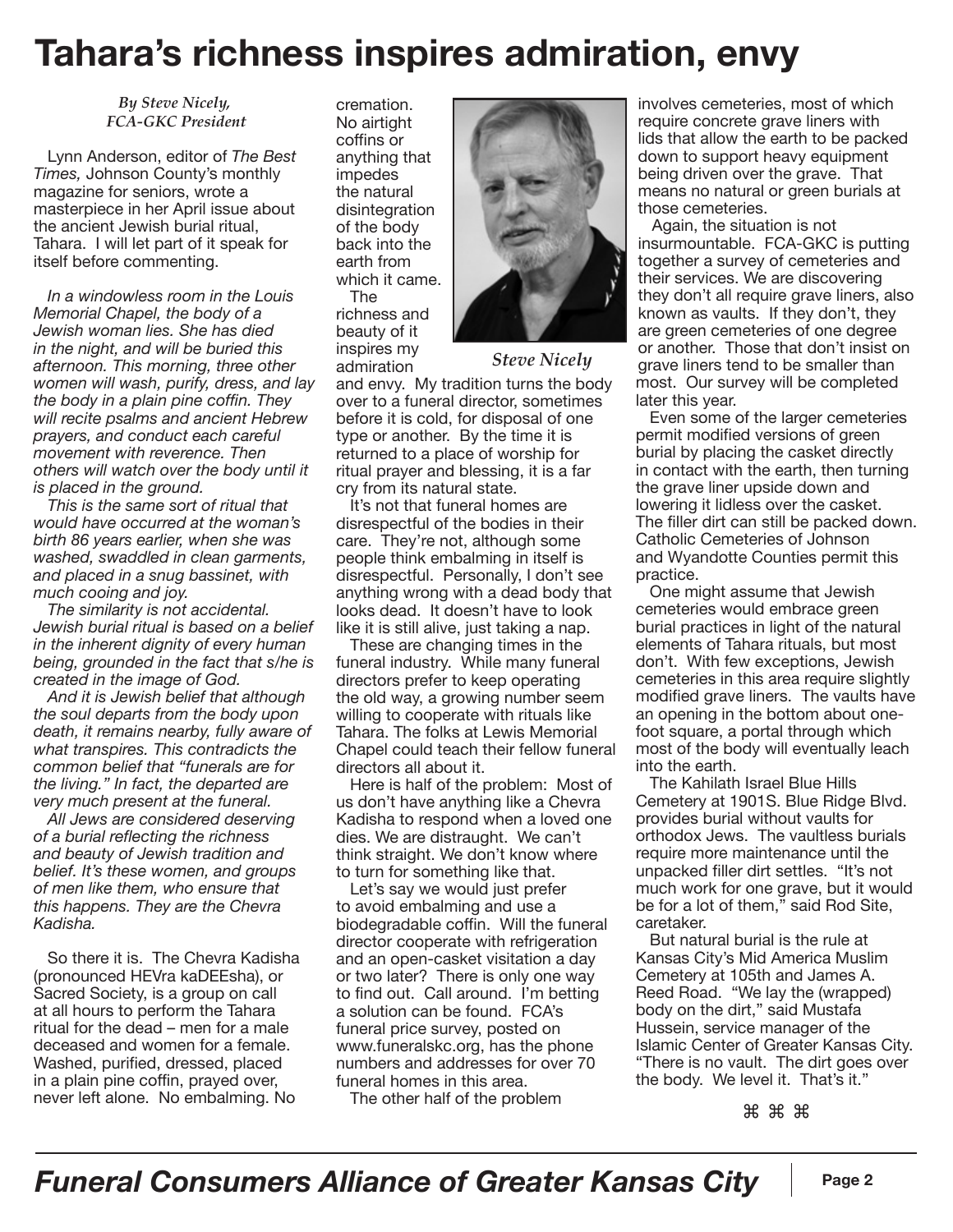## **Tahara's richness inspires admiration, envy**

*By Steve Nicely, FCA-GKC President*

Lynn Anderson, editor of *The Best Times,* Johnson County's monthly magazine for seniors, wrote a masterpiece in her April issue about the ancient Jewish burial ritual, Tahara. I will let part of it speak for itself before commenting.

*In a windowless room in the Louis Memorial Chapel, the body of a Jewish woman lies. She has died in the night, and will be buried this afternoon. This morning, three other women will wash, purify, dress, and lay the body in a plain pine coffin. They will recite psalms and ancient Hebrew prayers, and conduct each careful movement with reverence. Then others will watch over the body until it is placed in the ground.*

*This is the same sort of ritual that would have occurred at the woman's birth 86 years earlier, when she was washed, swaddled in clean garments, and placed in a snug bassinet, with much cooing and joy.*

*The similarity is not accidental. Jewish burial ritual is based on a belief in the inherent dignity of every human being, grounded in the fact that s/he is created in the image of God.*

*And it is Jewish belief that although the soul departs from the body upon death, it remains nearby, fully aware of what transpires. This contradicts the common belief that "funerals are for the living." In fact, the departed are very much present at the funeral.*

*All Jews are considered deserving of a burial reflecting the richness and beauty of Jewish tradition and belief. It's these women, and groups of men like them, who ensure that this happens. They are the Chevra Kadisha.*

So there it is. The Chevra Kadisha (pronounced HEVra kaDEEsha), or Sacred Society, is a group on call at all hours to perform the Tahara ritual for the dead – men for a male deceased and women for a female. Washed, purified, dressed, placed in a plain pine coffin, prayed over, never left alone. No embalming. No

cremation. No airtight coffins or anything that impedes the natural disintegration of the body back into the earth from which it came.

The richness and beauty of it inspires my admiration



*Steve Nicely*

and envy. My tradition turns the body over to a funeral director, sometimes before it is cold, for disposal of one type or another. By the time it is returned to a place of worship for ritual prayer and blessing, it is a far cry from its natural state.

It's not that funeral homes are disrespectful of the bodies in their care. They're not, although some people think embalming in itself is disrespectful. Personally, I don't see anything wrong with a dead body that looks dead. It doesn't have to look like it is still alive, just taking a nap.

These are changing times in the funeral industry. While many funeral directors prefer to keep operating the old way, a growing number seem willing to cooperate with rituals like Tahara. The folks at Lewis Memorial Chapel could teach their fellow funeral directors all about it.

Here is half of the problem: Most of us don't have anything like a Chevra Kadisha to respond when a loved one dies. We are distraught. We can't think straight. We don't know where to turn for something like that.

Let's say we would just prefer to avoid embalming and use a biodegradable coffin. Will the funeral director cooperate with refrigeration and an open-casket visitation a day or two later? There is only one way to find out. Call around. I'm betting a solution can be found. FCA's funeral price survey, posted on www.funeralskc.org, has the phone numbers and addresses for over 70 funeral homes in this area.

The other half of the problem

involves cemeteries, most of which require concrete grave liners with lids that allow the earth to be packed down to support heavy equipment being driven over the grave. That means no natural or green burials at those cemeteries.

Again, the situation is not insurmountable. FCA-GKC is putting together a survey of cemeteries and their services. We are discovering they don't all require grave liners, also known as vaults. If they don't, they are green cemeteries of one degree or another. Those that don't insist on grave liners tend to be smaller than most. Our survey will be completed later this year.

Even some of the larger cemeteries permit modified versions of green burial by placing the casket directly in contact with the earth, then turning the grave liner upside down and lowering it lidless over the casket. The filler dirt can still be packed down. Catholic Cemeteries of Johnson and Wyandotte Counties permit this practice.

One might assume that Jewish cemeteries would embrace green burial practices in light of the natural elements of Tahara rituals, but most don't. With few exceptions, Jewish cemeteries in this area require slightly modified grave liners. The vaults have an opening in the bottom about onefoot square, a portal through which most of the body will eventually leach into the earth.

The Kahilath Israel Blue Hills Cemetery at 1901S. Blue Ridge Blvd. provides burial without vaults for orthodox Jews. The vaultless burials require more maintenance until the unpacked filler dirt settles. "It's not much work for one grave, but it would be for a lot of them," said Rod Site, caretaker.

But natural burial is the rule at Kansas City's Mid America Muslim Cemetery at 105th and James A. Reed Road. "We lay the (wrapped) body on the dirt," said Mustafa Hussein, service manager of the Islamic Center of Greater Kansas City. "There is no vault. The dirt goes over the body. We level it. That's it."

⌘ ⌘ ⌘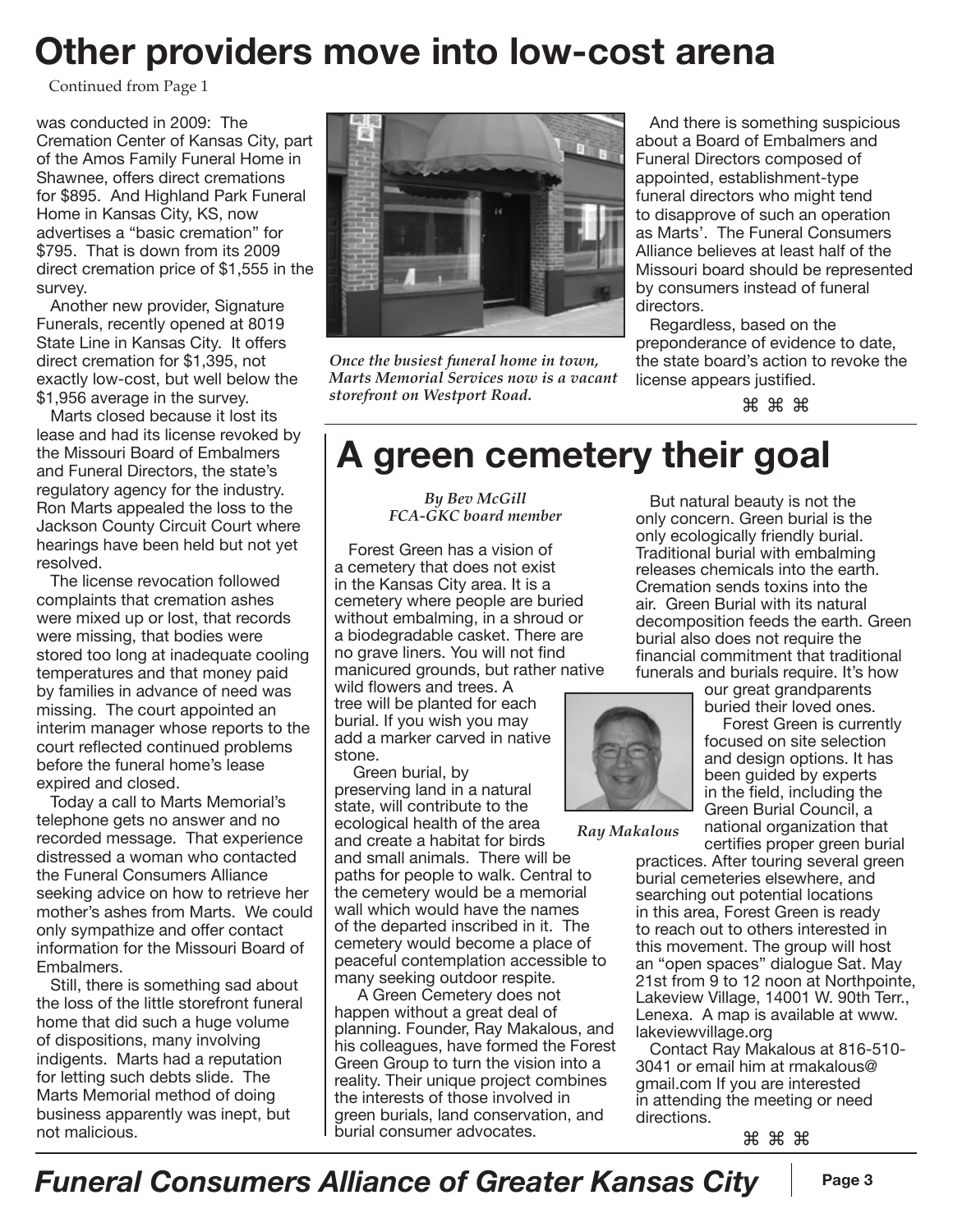## **Other providers move into low-cost arena**

Continued from Page 1

was conducted in 2009: The Cremation Center of Kansas City, part of the Amos Family Funeral Home in Shawnee, offers direct cremations for \$895. And Highland Park Funeral Home in Kansas City, KS, now advertises a "basic cremation" for \$795. That is down from its 2009 direct cremation price of \$1,555 in the survey.

Another new provider, Signature Funerals, recently opened at 8019 State Line in Kansas City. It offers direct cremation for \$1,395, not exactly low-cost, but well below the \$1,956 average in the survey.

Marts closed because it lost its lease and had its license revoked by the Missouri Board of Embalmers and Funeral Directors, the state's regulatory agency for the industry. Ron Marts appealed the loss to the Jackson County Circuit Court where hearings have been held but not yet resolved.

The license revocation followed complaints that cremation ashes were mixed up or lost, that records were missing, that bodies were stored too long at inadequate cooling temperatures and that money paid by families in advance of need was missing. The court appointed an interim manager whose reports to the court reflected continued problems before the funeral home's lease expired and closed.

Today a call to Marts Memorial's telephone gets no answer and no recorded message. That experience distressed a woman who contacted the Funeral Consumers Alliance seeking advice on how to retrieve her mother's ashes from Marts. We could only sympathize and offer contact information for the Missouri Board of Embalmers.

Still, there is something sad about the loss of the little storefront funeral home that did such a huge volume of dispositions, many involving indigents. Marts had a reputation for letting such debts slide. The Marts Memorial method of doing business apparently was inept, but not malicious.



*Once the busiest funeral home in town, Marts Memorial Services now is a vacant storefront on Westport Road.*

And there is something suspicious about a Board of Embalmers and Funeral Directors composed of appointed, establishment-type funeral directors who might tend to disapprove of such an operation as Marts'. The Funeral Consumers Alliance believes at least half of the Missouri board should be represented by consumers instead of funeral directors.

Regardless, based on the preponderance of evidence to date, the state board's action to revoke the license appears justified.

⌘ ⌘ ⌘

### **A green cemetery their goal**

*By Bev McGill FCA-GKC board member*

Forest Green has a vision of a cemetery that does not exist in the Kansas City area. It is a cemetery where people are buried without embalming, in a shroud or a biodegradable casket. There are no grave liners. You will not find manicured grounds, but rather native

wild flowers and trees. A tree will be planted for each burial. If you wish you may add a marker carved in native stone.

Green burial, by preserving land in a natural state, will contribute to the ecological health of the area and create a habitat for birds and small animals. There will be paths for people to walk. Central to the cemetery would be a memorial wall which would have the names of the departed inscribed in it. The cemetery would become a place of peaceful contemplation accessible to many seeking outdoor respite.

 A Green Cemetery does not happen without a great deal of planning. Founder, Ray Makalous, and his colleagues, have formed the Forest Green Group to turn the vision into a reality. Their unique project combines the interests of those involved in green burials, land conservation, and burial consumer advocates.

But natural beauty is not the only concern. Green burial is the only ecologically friendly burial. Traditional burial with embalming releases chemicals into the earth. Cremation sends toxins into the air. Green Burial with its natural decomposition feeds the earth. Green burial also does not require the financial commitment that traditional funerals and burials require. It's how



*Ray Makalous*

our great grandparents buried their loved ones. Forest Green is currently focused on site selection and design options. It has been guided by experts in the field, including the Green Burial Council, a national organization that certifies proper green burial

practices. After touring several green burial cemeteries elsewhere, and searching out potential locations in this area, Forest Green is ready to reach out to others interested in this movement. The group will host an "open spaces" dialogue Sat. May 21st from 9 to 12 noon at Northpointe, Lakeview Village, 14001 W. 90th Terr., Lenexa. A map is available at www. lakeviewvillage.org

Contact Ray Makalous at 816-510- 3041 or email him at rmakalous@ gmail.com If you are interested in attending the meeting or need directions.

⌘ ⌘ ⌘

*Funeral Consumers Alliance of Greater Kansas City* | Page 3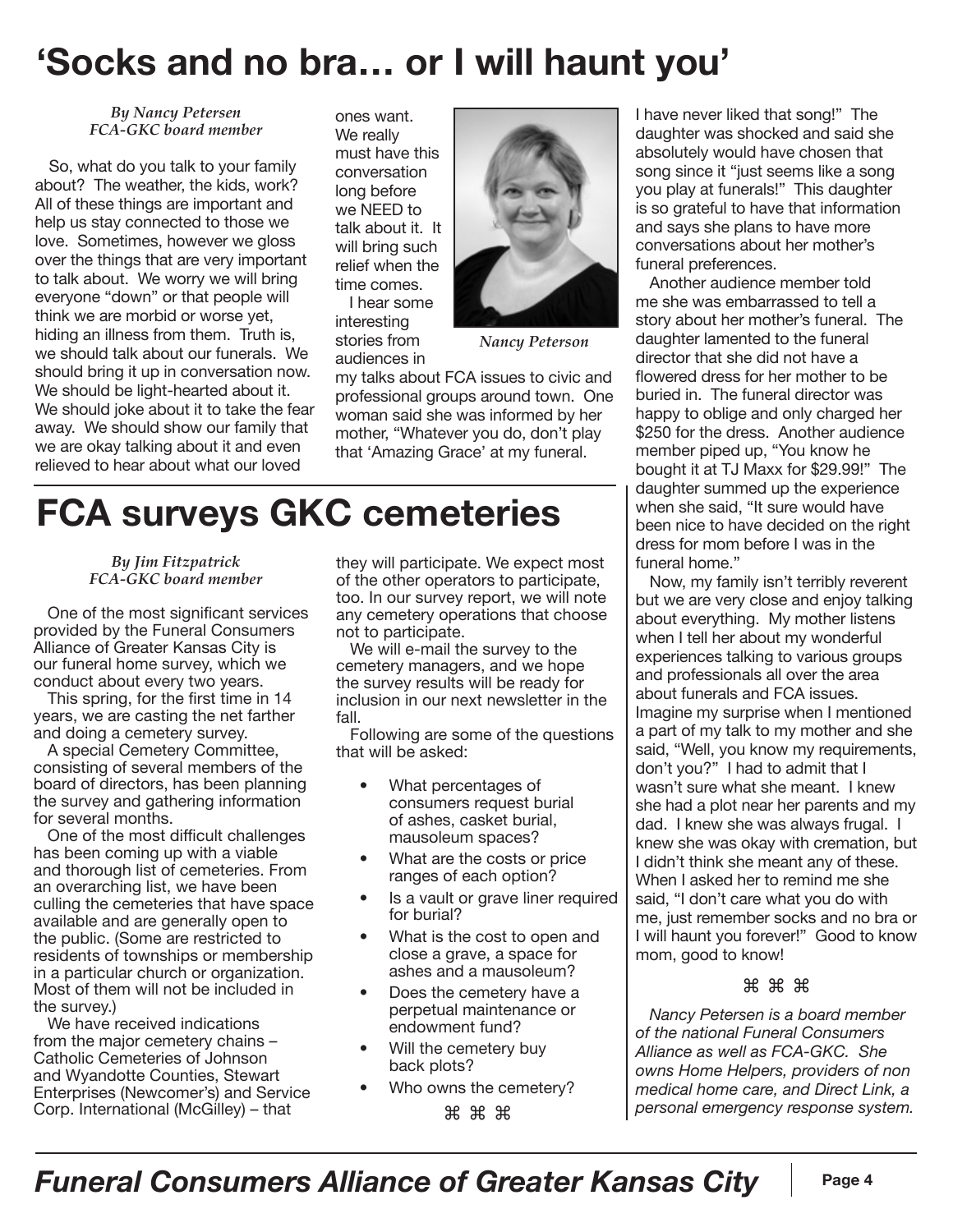## **'Socks and no bra… or I will haunt you'**

*By Nancy Petersen FCA-GKC board member*

So, what do you talk to your family about? The weather, the kids, work? All of these things are important and help us stay connected to those we love. Sometimes, however we gloss over the things that are very important to talk about. We worry we will bring everyone "down" or that people will think we are morbid or worse yet, hiding an illness from them. Truth is, we should talk about our funerals. We should bring it up in conversation now. We should be light-hearted about it. We should joke about it to take the fear away. We should show our family that we are okay talking about it and even relieved to hear about what our loved

ones want. We really must have this conversation long before we NEED to talk about it. It will bring such relief when the time comes.

I hear some interesting stories from audiences in



*Nancy Peterson*

my talks about FCA issues to civic and professional groups around town. One woman said she was informed by her mother, "Whatever you do, don't play that 'Amazing Grace' at my funeral.

## **FCA surveys GKC cemeteries**

*By Jim Fitzpatrick FCA-GKC board member*

One of the most significant services provided by the Funeral Consumers Alliance of Greater Kansas City is our funeral home survey, which we conduct about every two years.

This spring, for the first time in 14 years, we are casting the net farther and doing a cemetery survey.

A special Cemetery Committee, consisting of several members of the board of directors, has been planning the survey and gathering information for several months.

One of the most difficult challenges has been coming up with a viable and thorough list of cemeteries. From an overarching list, we have been culling the cemeteries that have space available and are generally open to the public. (Some are restricted to residents of townships or membership in a particular church or organization. Most of them will not be included in the survey.)

We have received indications from the major cemetery chains – Catholic Cemeteries of Johnson and Wyandotte Counties, Stewart Enterprises (Newcomer's) and Service Corp. International (McGilley) – that

they will participate. We expect most of the other operators to participate, too. In our survey report, we will note any cemetery operations that choose not to participate.

We will e-mail the survey to the cemetery managers, and we hope the survey results will be ready for inclusion in our next newsletter in the fall.

Following are some of the questions that will be asked:

- What percentages of consumers request burial of ashes, casket burial, mausoleum spaces?
- What are the costs or price ranges of each option?
- Is a vault or grave liner required for burial?
- What is the cost to open and close a grave, a space for ashes and a mausoleum?
- Does the cemetery have a perpetual maintenance or endowment fund?
- Will the cemetery buy back plots?
- Who owns the cemetery? ⌘ ⌘ ⌘

I have never liked that song!" The daughter was shocked and said she absolutely would have chosen that song since it "just seems like a song you play at funerals!" This daughter is so grateful to have that information and says she plans to have more conversations about her mother's funeral preferences.

Another audience member told me she was embarrassed to tell a story about her mother's funeral. The daughter lamented to the funeral director that she did not have a flowered dress for her mother to be buried in. The funeral director was happy to oblige and only charged her \$250 for the dress. Another audience member piped up, "You know he bought it at TJ Maxx for \$29.99!" The daughter summed up the experience when she said, "It sure would have been nice to have decided on the right dress for mom before I was in the funeral home."

Now, my family isn't terribly reverent but we are very close and enjoy talking about everything. My mother listens when I tell her about my wonderful experiences talking to various groups and professionals all over the area about funerals and FCA issues. Imagine my surprise when I mentioned a part of my talk to my mother and she said, "Well, you know my requirements, don't you?" I had to admit that I wasn't sure what she meant. I knew she had a plot near her parents and my dad. I knew she was always frugal. I knew she was okay with cremation, but I didn't think she meant any of these. When I asked her to remind me she said, "I don't care what you do with me, just remember socks and no bra or I will haunt you forever!" Good to know mom, good to know!

#### ⌘ ⌘ ⌘

*Nancy Petersen is a board member of the national Funeral Consumers Alliance as well as FCA-GKC. She owns Home Helpers, providers of non medical home care, and Direct Link, a personal emergency response system.*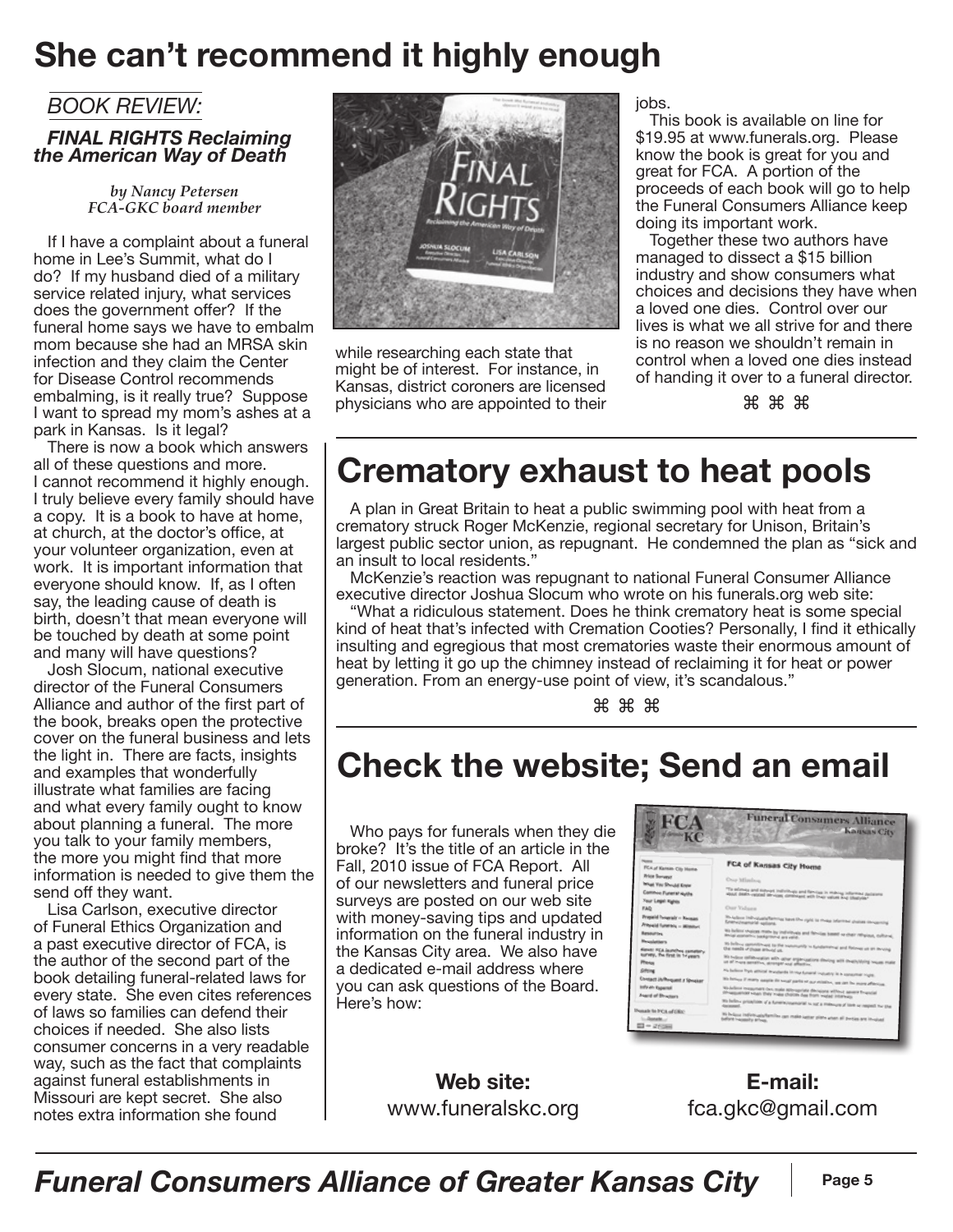### **She can't recommend it highly enough**

#### *BOOK REVIEW:*

#### *FINAL RIGHTS Reclaiming the American Way of Death*

*by Nancy Petersen FCA-GKC board member*

If I have a complaint about a funeral home in Lee's Summit, what do I do? If my husband died of a military service related injury, what services does the government offer? If the funeral home says we have to embalm mom because she had an MRSA skin infection and they claim the Center for Disease Control recommends embalming, is it really true? Suppose I want to spread my mom's ashes at a park in Kansas. Is it legal?

There is now a book which answers all of these questions and more. I cannot recommend it highly enough. I truly believe every family should have a copy. It is a book to have at home, at church, at the doctor's office, at your volunteer organization, even at work. It is important information that everyone should know. If, as I often say, the leading cause of death is birth, doesn't that mean everyone will be touched by death at some point and many will have questions?

Josh Slocum, national executive director of the Funeral Consumers Alliance and author of the first part of the book, breaks open the protective cover on the funeral business and lets the light in. There are facts, insights and examples that wonderfully illustrate what families are facing and what every family ought to know about planning a funeral. The more you talk to your family members, the more you might find that more information is needed to give them the send off they want.

Lisa Carlson, executive director of Funeral Ethics Organization and a past executive director of FCA, is the author of the second part of the book detailing funeral-related laws for every state. She even cites references of laws so families can defend their choices if needed. She also lists consumer concerns in a very readable way, such as the fact that complaints against funeral establishments in Missouri are kept secret. She also notes extra information she found



while researching each state that might be of interest. For instance, in Kansas, district coroners are licensed physicians who are appointed to their jobs.

This book is available on line for \$19.95 at www.funerals.org. Please know the book is great for you and great for FCA. A portion of the proceeds of each book will go to help the Funeral Consumers Alliance keep doing its important work.

Together these two authors have managed to dissect a \$15 billion industry and show consumers what choices and decisions they have when a loved one dies. Control over our lives is what we all strive for and there is no reason we shouldn't remain in control when a loved one dies instead of handing it over to a funeral director.

⌘ ⌘ ⌘

## **Crematory exhaust to heat pools**

A plan in Great Britain to heat a public swimming pool with heat from a crematory struck Roger McKenzie, regional secretary for Unison, Britain's largest public sector union, as repugnant. He condemned the plan as "sick and an insult to local residents."

McKenzie's reaction was repugnant to national Funeral Consumer Alliance executive director Joshua Slocum who wrote on his funerals.org web site:

"What a ridiculous statement. Does he think crematory heat is some special kind of heat that's infected with Cremation Cooties? Personally, I find it ethically insulting and egregious that most crematories waste their enormous amount of heat by letting it go up the chimney instead of reclaiming it for heat or power generation. From an energy-use point of view, it's scandalous."

⌘ ⌘ ⌘

### **Check the website; Send an email**

Who pays for funerals when they die broke? It's the title of an article in the Fall, 2010 issue of FCA Report. All of our newsletters and funeral price surveys are posted on our web site with money-saving tips and updated information on the funeral industry in the Kansas City area. We also have a dedicated e-mail address where you can ask questions of the Board. Here's how:



**Web site:**  www.funeralskc.org

**E-mail:**  fca.gkc@gmail.com

*Funeral Consumers Alliance of Greater Kansas City* **Page 5**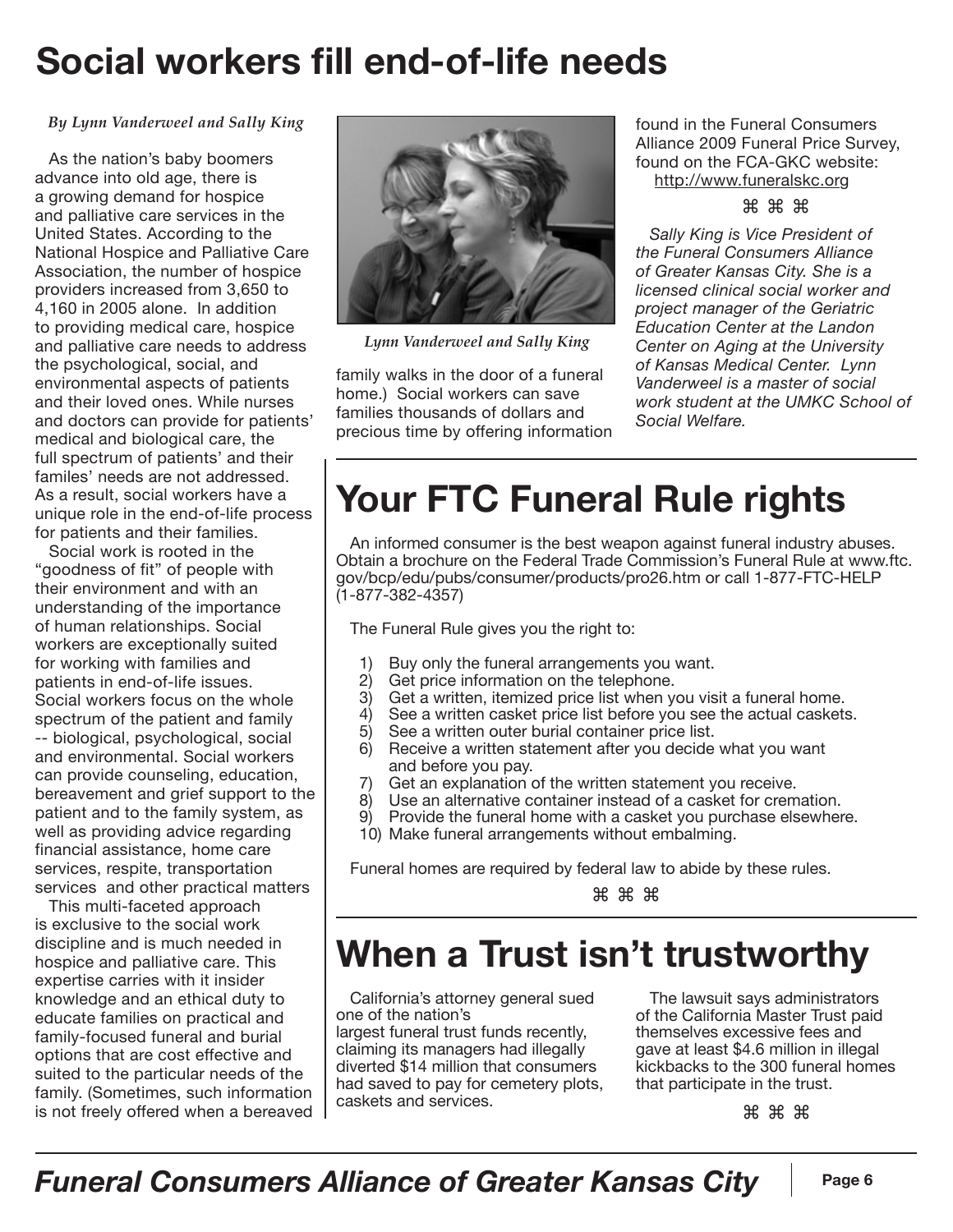## **Social workers fill end-of-life needs**

#### *By Lynn Vanderweel and Sally King*

As the nation's baby boomers advance into old age, there is a growing demand for hospice and palliative care services in the United States. According to the National Hospice and Palliative Care Association, the number of hospice providers increased from 3,650 to 4,160 in 2005 alone. In addition to providing medical care, hospice and palliative care needs to address the psychological, social, and environmental aspects of patients and their loved ones. While nurses and doctors can provide for patients' medical and biological care, the full spectrum of patients' and their familes' needs are not addressed. As a result, social workers have a unique role in the end-of-life process for patients and their families.

Social work is rooted in the "goodness of fit" of people with their environment and with an understanding of the importance of human relationships. Social workers are exceptionally suited for working with families and patients in end-of-life issues. Social workers focus on the whole spectrum of the patient and family -- biological, psychological, social and environmental. Social workers can provide counseling, education, bereavement and grief support to the patient and to the family system, as well as providing advice regarding financial assistance, home care services, respite, transportation services and other practical matters

This multi-faceted approach is exclusive to the social work discipline and is much needed in hospice and palliative care. This expertise carries with it insider knowledge and an ethical duty to educate families on practical and family-focused funeral and burial options that are cost effective and suited to the particular needs of the family. (Sometimes, such information is not freely offered when a bereaved



*Lynn Vanderweel and Sally King*

family walks in the door of a funeral home.) Social workers can save families thousands of dollars and precious time by offering information found in the Funeral Consumers Alliance 2009 Funeral Price Survey, found on the FCA-GKC website: http://www.funeralskc.org

#### ⌘ ⌘ ⌘

*Sally King is Vice President of the Funeral Consumers Alliance of Greater Kansas City. She is a licensed clinical social worker and project manager of the Geriatric Education Center at the Landon Center on Aging at the University of Kansas Medical Center. Lynn Vanderweel is a master of social work student at the UMKC School of Social Welfare.*

# **Your FTC Funeral Rule rights**

An informed consumer is the best weapon against funeral industry abuses. Obtain a brochure on the Federal Trade Commission's Funeral Rule at www.ftc. gov/bcp/edu/pubs/consumer/products/pro26.htm or call 1-877-FTC-HELP (1-877-382-4357)

The Funeral Rule gives you the right to:

- 1) Buy only the funeral arrangements you want.<br>2) Get price information on the telephone.
- Get price information on the telephone.
- 3) Get a written, itemized price list when you visit a funeral home.
- 4) See a written casket price list before you see the actual caskets.
- 5) See a written outer burial container price list.
- 6) Receive a written statement after you decide what you want and before you pay.
- 7) Get an explanation of the written statement you receive.
- 8) Use an alternative container instead of a casket for cremation.
- 9) Provide the funeral home with a casket you purchase elsewhere.
- 10) Make funeral arrangements without embalming.

Funeral homes are required by federal law to abide by these rules.

⌘ ⌘ ⌘

## **When a Trust isn't trustworthy**

California's attorney general sued one of the nation's

largest funeral trust funds recently, claiming its managers had illegally diverted \$14 million that consumers had saved to pay for cemetery plots, caskets and services.

The lawsuit says administrators of the California Master Trust paid themselves excessive fees and gave at least \$4.6 million in illegal kickbacks to the 300 funeral homes that participate in the trust.

⌘ ⌘ ⌘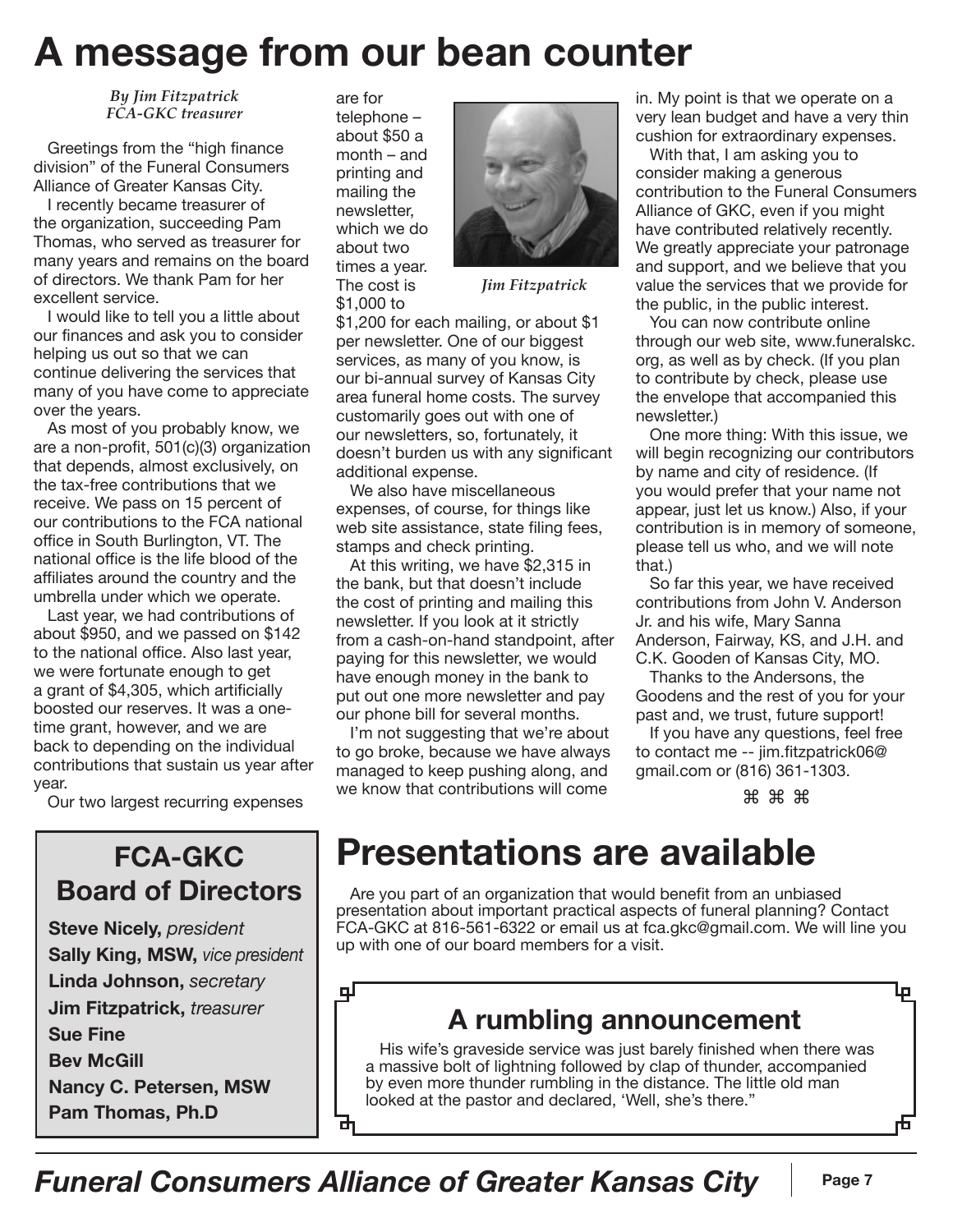# **A message from our bean counter**

*By Jim Fitzpatrick FCA-GKC treasurer*

Greetings from the "high finance division" of the Funeral Consumers Alliance of Greater Kansas City.

I recently became treasurer of the organization, succeeding Pam Thomas, who served as treasurer for many years and remains on the board of directors. We thank Pam for her excellent service.

I would like to tell you a little about our finances and ask you to consider helping us out so that we can continue delivering the services that many of you have come to appreciate over the years.

As most of you probably know, we are a non-profit, 501(c)(3) organization that depends, almost exclusively, on the tax-free contributions that we receive. We pass on 15 percent of our contributions to the FCA national office in South Burlington, VT. The national office is the life blood of the affiliates around the country and the umbrella under which we operate.

Last year, we had contributions of about \$950, and we passed on \$142 to the national office. Also last year, we were fortunate enough to get a grant of \$4,305, which artificially boosted our reserves. It was a onetime grant, however, and we are back to depending on the individual contributions that sustain us year after year.

Our two largest recurring expenses

#### **FCA-GKC Board of Directors**

**Steve Nicely,** *president* **Sally King, MSW,** *vice president* **Linda Johnson,** *secretary* **Jim Fitzpatrick,** *treasurer* **Sue Fine Bev McGill Nancy C. Petersen, MSW Pam Thomas, Ph.D**

are for telephone – about \$50 a month – and printing and mailing the newsletter, which we do about two times a year. The cost is \$1,000 to



*Jim Fitzpatrick*

\$1,200 for each mailing, or about \$1 per newsletter. One of our biggest services, as many of you know, is our bi-annual survey of Kansas City area funeral home costs. The survey customarily goes out with one of our newsletters, so, fortunately, it doesn't burden us with any significant additional expense.

We also have miscellaneous expenses, of course, for things like web site assistance, state filing fees, stamps and check printing.

At this writing, we have \$2,315 in the bank, but that doesn't include the cost of printing and mailing this newsletter. If you look at it strictly from a cash-on-hand standpoint, after paying for this newsletter, we would have enough money in the bank to put out one more newsletter and pay our phone bill for several months.

I'm not suggesting that we're about to go broke, because we have always managed to keep pushing along, and we know that contributions will come

in. My point is that we operate on a very lean budget and have a very thin cushion for extraordinary expenses.

With that, I am asking you to consider making a generous contribution to the Funeral Consumers Alliance of GKC, even if you might have contributed relatively recently. We greatly appreciate your patronage and support, and we believe that you value the services that we provide for the public, in the public interest.

You can now contribute online through our web site, www.funeralskc. org, as well as by check. (If you plan to contribute by check, please use the envelope that accompanied this newsletter.)

One more thing: With this issue, we will begin recognizing our contributors by name and city of residence. (If you would prefer that your name not appear, just let us know.) Also, if your contribution is in memory of someone, please tell us who, and we will note that.)

So far this year, we have received contributions from John V. Anderson Jr. and his wife, Mary Sanna Anderson, Fairway, KS, and J.H. and C.K. Gooden of Kansas City, MO.

Thanks to the Andersons, the Goodens and the rest of you for your past and, we trust, future support!

If you have any questions, feel free to contact me -- jim.fitzpatrick06@ gmail.com or (816) 361-1303.

⌘ ⌘ ⌘

## **Presentations are available**

Are you part of an organization that would benefit from an unbiased presentation about important practical aspects of funeral planning? Contact FCA-GKC at 816-561-6322 or email us at fca.gkc@gmail.com. We will line you up with one of our board members for a visit.

qГ

由

#### **A rumbling announcement**

His wife's graveside service was just barely finished when there was a massive bolt of lightning followed by clap of thunder, accompanied by even more thunder rumbling in the distance. The little old man looked at the pastor and declared, 'Well, she's there."

Ļр